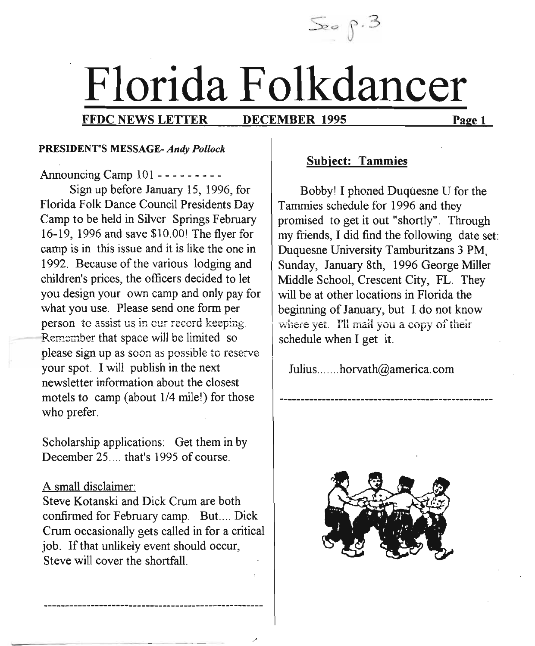$\mathcal{S}_e$  p.3

# Florida Folkdancer

!

/'

#### FFDC NEWS LETTER DECEMBER 1995 Page 1

DECEMBER 1995

#### PRESIDENT'S MESSAGE- *Andy Pollock*

Announcing Camp 101 - - - - - - - --

Sign up before January 15, 1996, for Florida Folk Dance Council Presidents Day Camp to be held in Silver Springs February 16-19, 1996 and save \$10.00! The flyer for camp is in this issue and it is like the one in 1992. Because of the various lodging and children's prices, the officers decided to let you design your own camp and only pay for what you use. Please send one form per person to assist us in our record keeping. Remember that space will be limited so please sign up as soon as possible to reserve your spot. I will publish in the next newsletter information about the closest motels to camp (about 1/4 mile!) for those who prefer.

Scholarship applications: Get them in by December 25.... that's 1995 of course.

#### A small disclaimer:

Steve Kotanski and Dick Crum are both confirmed for February camp. But.... Dick Crum occasionally gets called in for a critical job. If that unlikely event should occur, Steve will cover the shortfall.

#### Subject: Tammies

Bobby! I phoned Duquesne U for the Tammies schedule for 1996 and they promised to get it out "shortly". Through my friends, I did find the following date set: Duquesne University Tamburitzans 3 PM, Sunday, January 8th, 1996 George Miller Middle School, Crescent City, FL. They will be at other locations in Florida the beginning of January, but I do not know where yet. I'll mail you a copy of their schedule when I get it.

Julius ....... horvath@america.com

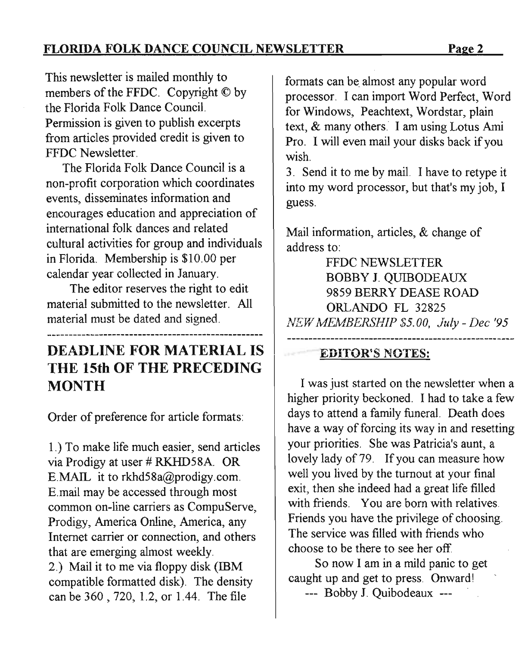FLORIDA FOLK DANCE COUNCIL NEWSLETTER Page 2

This newsletter is mailed monthly to members of the FFDC. Copyright © by the Florida Folk Dance Council. Permission is given to publish excerpts from articles provided credit is given to FFDC Newsletter.

The Florida Folk Dance Council is a non-profit corporation which coordinates events, disseminates information and encourages education and appreciation of international folk dances and related cultural activities for group and individuals in Florida. Membership is \$10.00 per calendar year collected in January.

The editor reserves the right to edit material submitted to the newsletter. All material must be dated and signed.

# DEADLINE FOR MATERIAL IS THE 15th OF THE PRECEDING MONTH

Order of preference for article formats:

1.) To make life much easier, send articles via Prodigy at user # RKHD58A. OR E.MAIL it to rkhd58a@prodigy.com. E.mail may be accessed through most common on-line carriers as CompuServe, Prodigy, America Online, America, any Internet carrier or connection, and others that are emerging almost weekly. 2.) Mail it to me via floppy disk (IBM compatible formatted disk). The density can be 360 , 720, 1.2, or 1.44. The file

formats can be. almost any popular word processor. I can import Word Perfect, Word for Windows, Peachtext, Wordstar, plain text, & many others. I am using Lotus Ami Pro. I will even mail your disks back if you wish.

3. Send it to me by mail. I have to retype it into my word processor, but that's my job, I guess.

Mail information, articles, & change of address to:

FFDC NEWSLETTER BOBBY 1. QUIBODEAUX 9859 BERRY DEASE ROAD ORLANDO FL 32825 *NEW MEMBERSHIP \$5.00, July - Dee '95*

## EDITOR'S NOTES:

I was just started on the newsletter when a higher priority beckoned. I had to take a few days to attend a family funeral. Death does have a way of forcing its way in and resetting your priorities. She was Patricia's aunt, a lovely lady of 79. If you can measure how well you lived by the turnout at your final exit, then she indeed had a great life filled with friends. You are born with relatives. Friends you have the privilege of choosing. The service was filled with friends who choose to be there to see her off.

So now I am in a mild panic to get caught up and get to press. Onward!

--- Bobby 1. Quibodeaux ---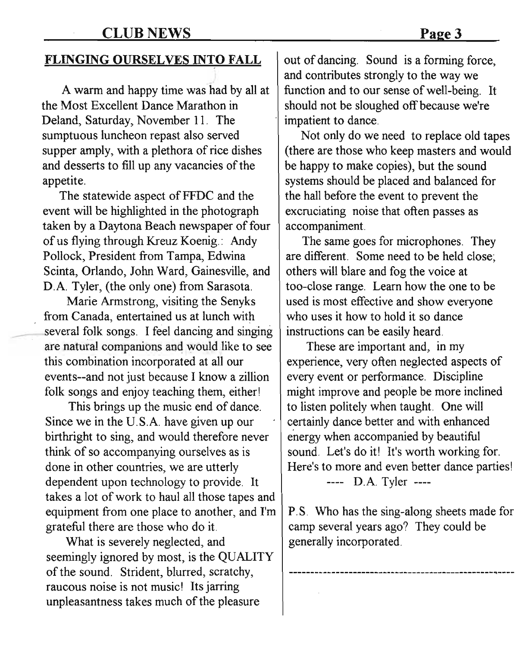#### FLINGING OURSELVES INTO FALL

A warm and happy time was had by all at the Most Excellent Dance Marathon in Deland, Saturday, November 11. The sumptuous luncheon repast also served supper amply, with a plethora of rice dishes and desserts to fill up any vacancies of the appetite.

The statewide aspect of FFDC and the event will be highlighted in the photograph taken by a Daytona Beach newspaper of four of us flying through Kreuz Koenig.: Andy Pollock, President from Tampa, Edwina Scinta, Orlando, John Ward, Gainesville, and D.A. Tyler, (the only one) from Sarasota.

Marie Armstrong, visiting the Senyks from Canada, entertained us at lunch with several folk songs. I feel dancing and singing are natural companions and would like to see this combination incorporated at all our events--and not just because I know a zillion folk songs and enjoy teaching them, either!

This brings up the music end of dance. Since we in the U.S.A. have given up our birthright to sing, and would therefore never think of so accompanying ourselves as is done in other countries, we are utterly dependent upon technology to provide. It takes a lot of work to haul all those tapes and equipment from one place to another, and I'm grateful there are those who do it.

What is severely neglected, and seemingly ignored by most, is the QUALITY of the sound. Strident, blurred, scratchy, raucous noise is not music! Its jarring unpleasantness takes much of the pleasure

out of dancing. Sound is a forming force, and contributes strongly to the way we function and to our sense of well-being. It should not be sloughed off because we're impatient to dance.

Not only do we need to replace old tapes (there are those who keep masters and would be happy to make copies), but the sound systems should be placed and balanced for the hall before the event to prevent the excruciating noise that often passes as accompaniment.

The same goes for microphones. They are different. Some need to be held close; others will blare and fog the voice at too-close range. Learn how the one to be used is most effective and show everyone who uses it how to hold it so dance instructions can be easily heard.

These are important and, in my experience, very often neglected aspects of every event or performance. Discipline might improve and people be more inclined to listen politely when taught. One will certainly dance better and with enhanced energy when accompanied by beautiful sound. Let's do it! It's worth working for. Here's to more and even better dance parties!

---- D.A. Tyler ----

P.S. Who has the sing-along sheets made for camp several years ago? They could be generally incorporated.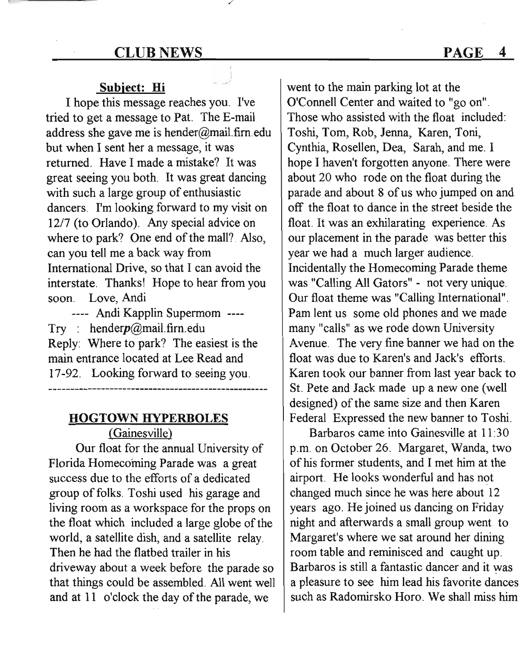#### CLUB NEWS PAGE

#### Subject: Hi

I hope this message reaches you. I've tried to get a message to Pat. The E-mail address she gave me is hender@mail.firn.edu but when I sent her a message, it was returned. Have I made a mistake? It was great seeing you both. It was great dancing with such a large group of enthusiastic dancers. I'm looking forward to my visit on 12/7 (to Orlando). Any special advice on where to park? One end of the mall? Also, can you tell me a back way from International Drive, so that I can avoid the interstate. Thanks! Hope to hear from you soon. Love, Andi

---- Andi Kapplin Supermom ---- Try : henderp@maiLfirn.edu Reply: Where to park? The easiest is the main entrance located at Lee Read and 17-92. Looking forward to seeing you. 

# **HOGTOWN HYPERBOLES**

(Gainesville)

Our float for the annual University of Florida Homecoming Parade was a great success due to the efforts of a dedicated group of folks. Toshi used his garage and living room as a workspace for the props on the float which included a large globe of the world, a satellite dish, and a satellite relay. Then he had the flatbed trailer in his driveway about a week before the parade so that things could be assembled. All went well and at 11 o'clock the day of the parade, we

went to the main parking lot at the O'Connell Center and waited to "go on". Those who assisted with the float included: Toshi, Tom, Rob, Jenna, Karen, Toni, Cynthia, Rosellen, Dea, Sarah, and me. I hope I haven't forgotten anyone. There were about 20 who rode on the float during the parade and about 8 of us who jumped on and off the float to dance in the street beside the float. It was an exhilarating experience. As our placement in the parade was better this year we had a much larger audience. Incidentally the Homecoming Parade theme was "Calling All Gators" - not very unique. Our float theme was "Calling International". Pam lent us some old phones and we made many "calls" as we rode down University Avenue. The very fine banner we had on the float was due to Karen's and Jack's efforts. Karen took our banner from last year back to St. Pete and Jack made up a new one (well designed) of the same size and then Karen Federal Expressed the new banner to Toshi.

Barbaros came into Gainesville at 11:30 p.m. on October 26. Margaret, Wanda, two of his former students, and I met him at the airport. He looks wonderful and has not changed much since he was here about 12 years ago. He joined us dancing on Friday night and afterwards a small group went to Margaret's where we sat around her dining room table and reminisced and caught up. Barbaros is still a fantastic dancer and it was a pleasure to see him lead his favorite dances such as Radomirsko Horo. We shall miss him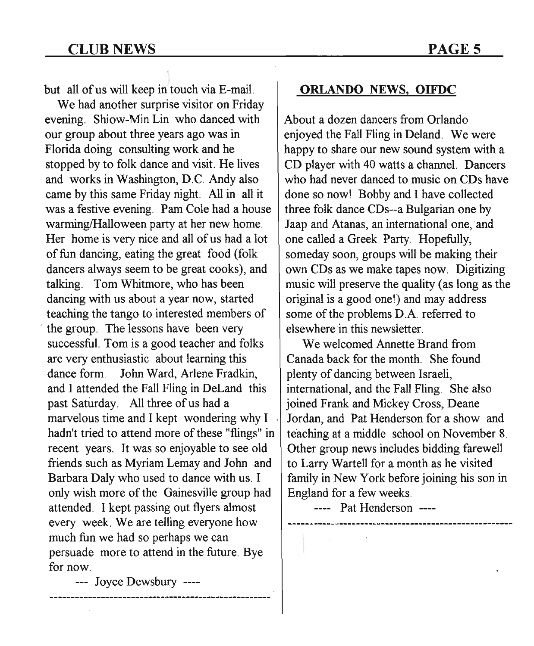) but all of us will keep in touch via E-mail.

We had another surprise visitor on Friday evening. Shiow-Min Lin who danced with our group about three years ago was in Florida doing consulting work and he stopped by to folk dance and visit. He lives and works in Washington, D.C. Andy also came by this same Friday night. All in all it was a festive evening. Pam Cole had a house warming/Halloween party at her new home. Her home is very nice and all of us had a lot of fun dancing, eating the great food (folk) dancers always seem to be great cooks), and talking. Tom Whitmore, who has been dancing with us about a year now, started teaching the tango to interested members of the group. The lessons have been very successful. Tom is a good teacher and folks are very enthusiastic about learning this dance form. John Ward, Arlene Fradkin, and I attended the Fall Fling in DeLand this past Saturday. All three of us had a marvelous time and I kept wondering why I hadn't tried to attend more of these "flings" in recent years. It was so enjoyable to see old friends such as Myriam Lemay and John and Barbara Daly who used to dance with us. I only wish more of the Gainesville group had attended. I kept passing out flyers almost every week. We are telling everyone how much fun we had so perhaps we can persuade more to attend in the future. Bye for now.

ORLANDO NEWS. OIFDC

About a dozen dancers from Orlando enjoyed the Fall Fling in Deland. We were happy to share our new sound system with a CD player with 40 watts a channel. Dancers who had never danced to music on CDs have done so now! Bobby and I have collected three folk dance CDs--a Bulgarian one by Jaap and Atanas, an international one, and one called a Greek Party. Hopefully, someday soon, groups will be making their own CDs as we make tapes now. Digitizing music will preserve the quality (as long as the original is a good one!) and may address some of the problems D.A. referred to elsewhere in this newsletter.

We welcomed Annette Brand from Canada back for the month. She found plenty of dancing between Israeli, international, and the Fall Fling. She also joined Frank and Mickey Cross, Deane Jordan, and Pat Henderson for a show and teaching at a middle school on November 8. Other group news includes bidding farewell to Larry Wartell for a month as he visited family in New York before joining his son in England for a few weeks.

---- Pat Henderson ----

--- Joyce Dewsbury ----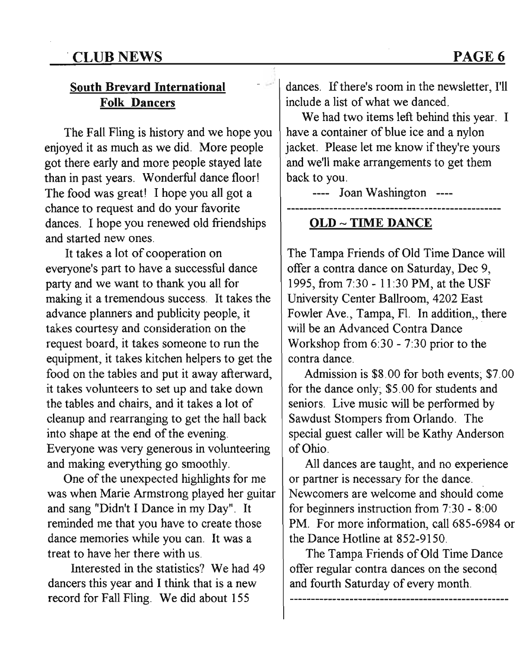# .CLUB NEWS

### South Brevard International Folk Dancers

The Fall Fling is history and we hope you enjoyed it as much as we did. More people got there early and more people stayed late than in past years. Wonderful dance floor! The food was great! I hope you all got a chance to request and do your favorite dances. I hope you renewed old friendships and started new ones.

It takes a lot of cooperation on everyone's part to have a successful dance party and we want to thank you all for making it a tremendous success. It takes the advance planners and publicity people, it takes courtesy and consideration on the request board, it takes someone to run the equipment, it takes kitchen helpers to get the food on the tables and put it away afterward, it takes volunteers to set up and take down the tables and chairs, and it takes a lot of cleanup and rearranging to get the hall back into shape at the end of the evening. Everyone was very generous in volunteering and making everything go smoothly.

One of the unexpected highlights for me was when Marie Armstrong played her guitar and sang "Didn't I Dance in my Day". It reminded me that you have to create those dance memories while you can. It was a treat to have her there with us.

Interested in the statistics? We had 49 dancers this year and I think that is a new record for Fall Fling. We did about 155

dances. If there's room in the newsletter, I'll include a list of what we danced.

We had two items left behind this year. I have a container of blue ice and a nylon jacket. Please let me know if they're yours and we'll make arrangements to get them back to you.

---- Joan Washington ----

#### OLD - TIME DANCE

The Tampa Friends of Old Time Dance will offer a contra dance on Saturday, Dee 9, 1995, from 7:30 - 11:30 PM, at the USF University Center Ballroom, 4202 East Fowler Ave., Tampa, Fl. In addition,, there will be an Advanced Contra Dance Workshop from 6:30 - 7:30 prior to the contra dance.

Admission is \$8.00 for both events; \$7.00 for the dance only; \$5.00 for students and seniors. Live music will be performed by Sawdust Stompers from Orlando. The special guest caller will be Kathy Anderson of Ohio.

All dances are taught, and no experience or partner is necessary for the dance. Newcomers are welcome and should come for beginners instruction from 7:30 - 8:00 PM. For more information, call 685-6984 or the Dance Hotline at 852-9150.

The Tampa Friends of Old Time Dance offer regular contra dances on the second and fourth Saturday of every month.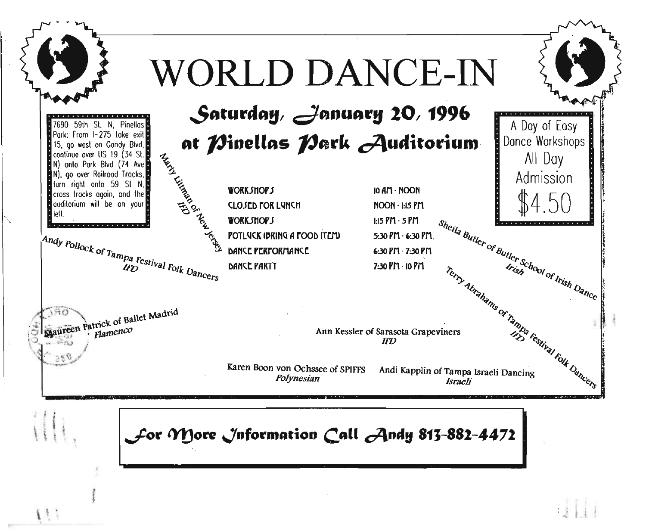